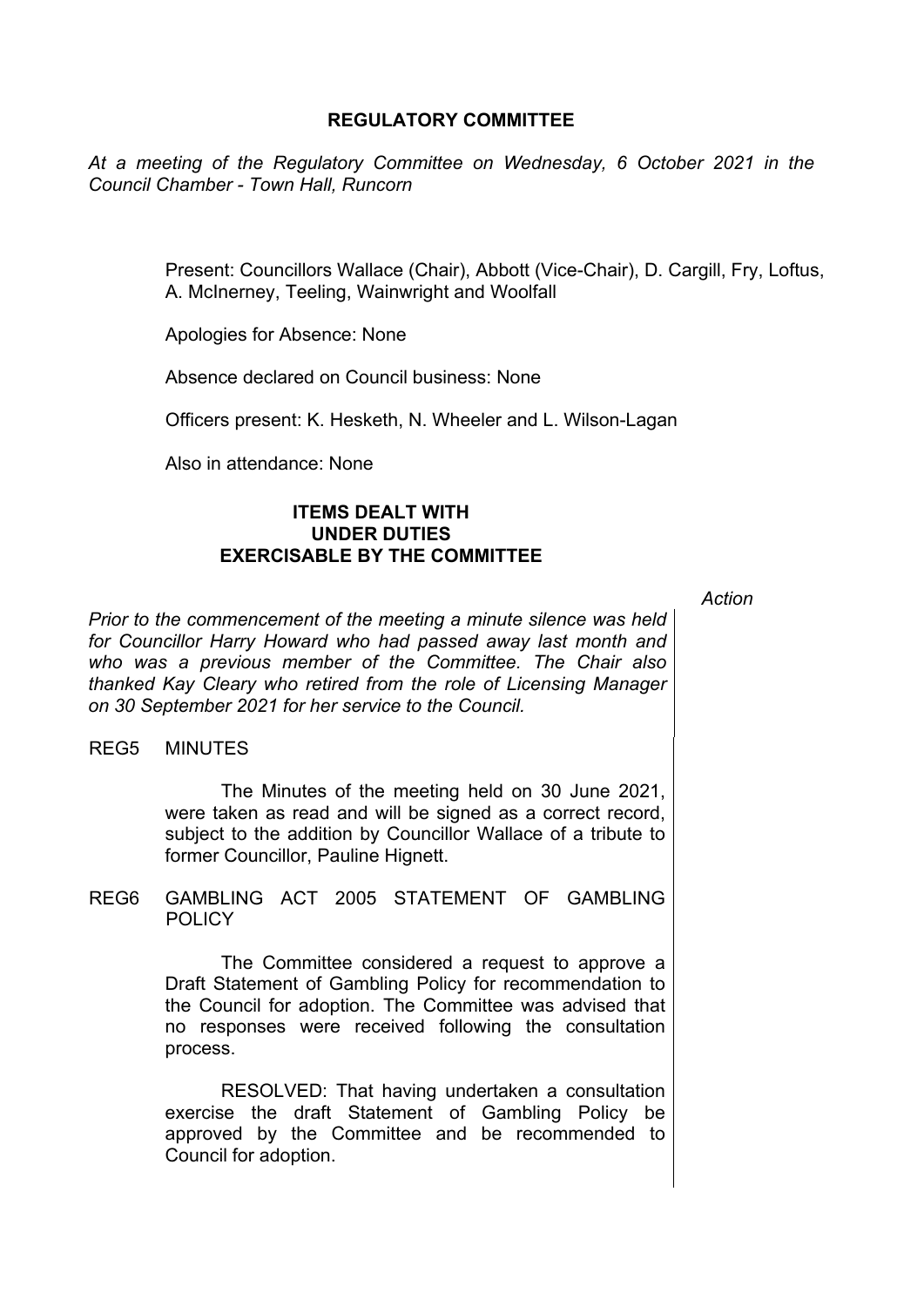# **REGULATORY COMMITTEE**

*At a meeting of the Regulatory Committee on Wednesday, 6 October 2021 in the Council Chamber - Town Hall, Runcorn*

> Present: Councillors Wallace (Chair), Abbott (Vice-Chair), D. Cargill, Fry, Loftus, A. McInerney, Teeling, Wainwright and Woolfall

Apologies for Absence: None

Absence declared on Council business: None

Officers present: K. Hesketh, N. Wheeler and L. Wilson-Lagan

Also in attendance: None

# **ITEMS DEALT WITH UNDER DUTIES EXERCISABLE BY THE COMMITTEE**

*Action*

*Prior to the commencement of the meeting a minute silence was held for Councillor Harry Howard who had passed away last month and who was a previous member of the Committee. The Chair also thanked Kay Cleary who retired from the role of Licensing Manager on 30 September 2021 for her service to the Council.* 

#### REG5 MINUTES

The Minutes of the meeting held on 30 June 2021, were taken as read and will be signed as a correct record, subject to the addition by Councillor Wallace of a tribute to former Councillor, Pauline Hignett.

REG6 GAMBLING ACT 2005 STATEMENT OF GAMBLING POLICY.

> The Committee considered a request to approve a Draft Statement of Gambling Policy for recommendation to the Council for adoption. The Committee was advised that no responses were received following the consultation process.

> RESOLVED: That having undertaken a consultation exercise the draft Statement of Gambling Policy be approved by the Committee and be recommended to Council for adoption.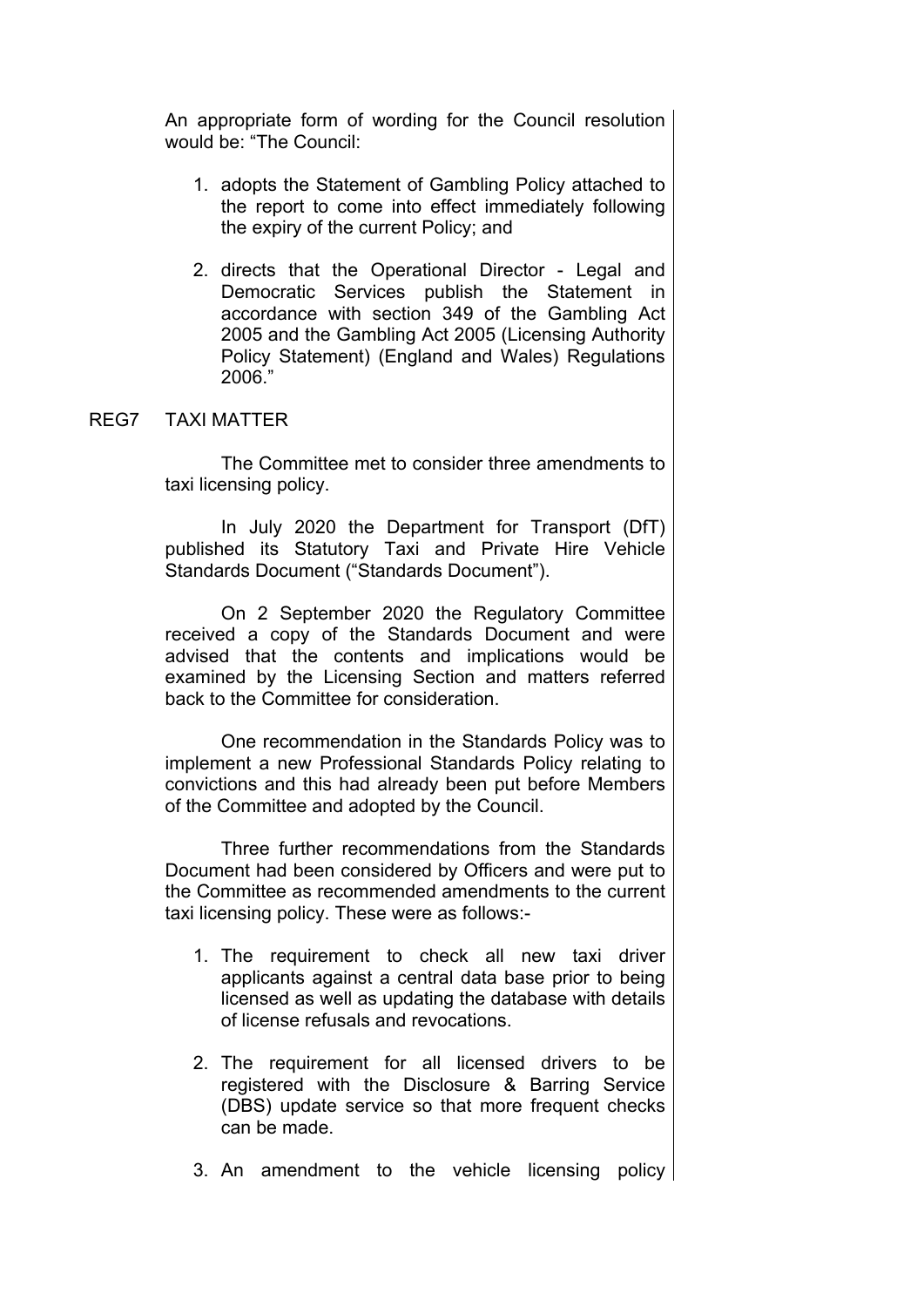An appropriate form of wording for the Council resolution would be: "The Council:

- 1. adopts the Statement of Gambling Policy attached to the report to come into effect immediately following the expiry of the current Policy; and
- 2. directs that the Operational Director Legal and Democratic Services publish the Statement in accordance with section 349 of the Gambling Act 2005 and the Gambling Act 2005 (Licensing Authority Policy Statement) (England and Wales) Regulations 2006."

## REG7 TAXI MATTER

The Committee met to consider three amendments to taxi licensing policy.

In July 2020 the Department for Transport (DfT) published its Statutory Taxi and Private Hire Vehicle Standards Document ("Standards Document").

On 2 September 2020 the Regulatory Committee received a copy of the Standards Document and were advised that the contents and implications would be examined by the Licensing Section and matters referred back to the Committee for consideration.

One recommendation in the Standards Policy was to implement a new Professional Standards Policy relating to convictions and this had already been put before Members of the Committee and adopted by the Council.

Three further recommendations from the Standards Document had been considered by Officers and were put to the Committee as recommended amendments to the current taxi licensing policy. These were as follows:-

- 1. The requirement to check all new taxi driver applicants against a central data base prior to being licensed as well as updating the database with details of license refusals and revocations.
- 2. The requirement for all licensed drivers to be registered with the Disclosure & Barring Service (DBS) update service so that more frequent checks can be made.
- 3. An amendment to the vehicle licensing policy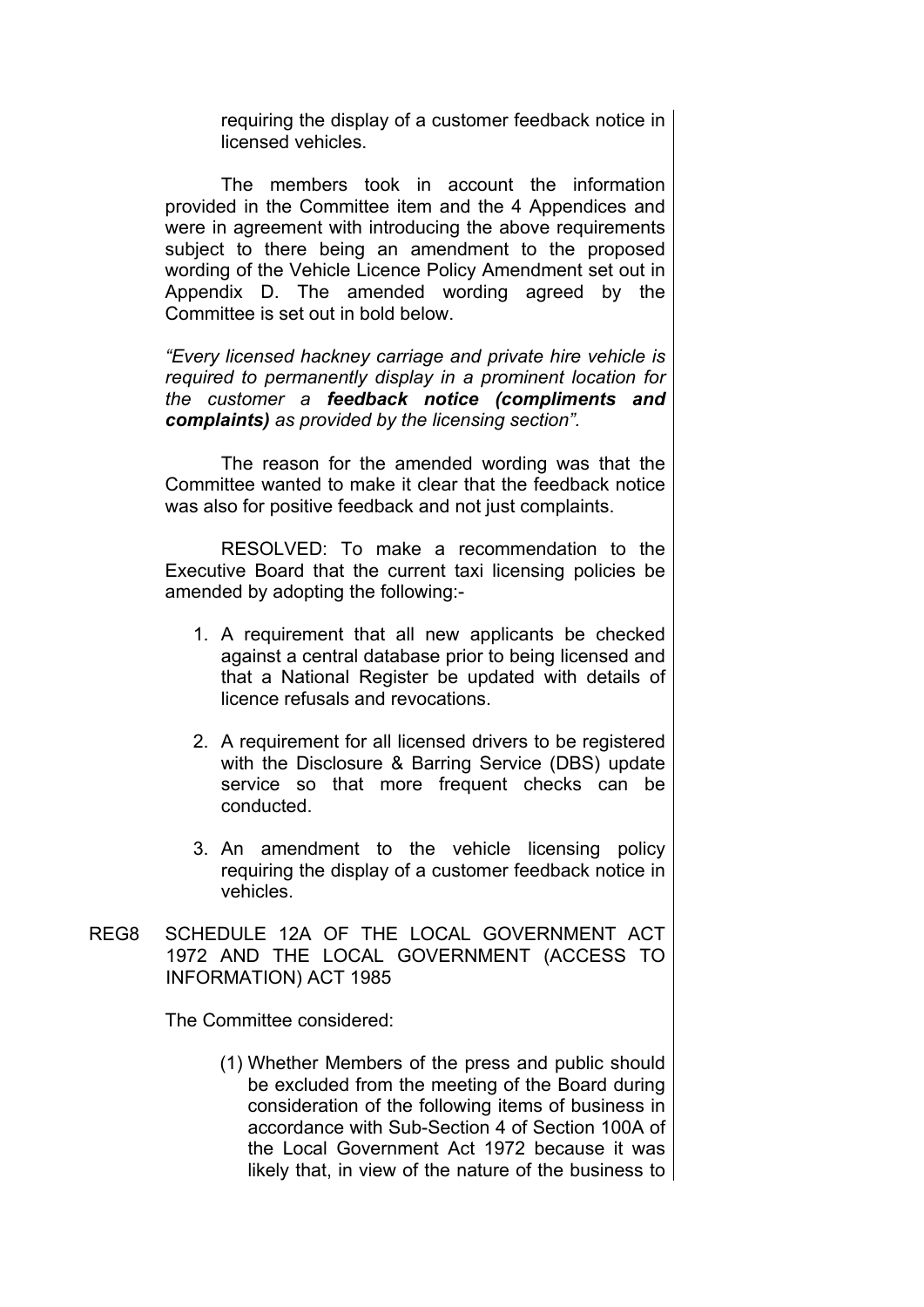requiring the display of a customer feedback notice in licensed vehicles.

The members took in account the information provided in the Committee item and the 4 Appendices and were in agreement with introducing the above requirements subject to there being an amendment to the proposed wording of the Vehicle Licence Policy Amendment set out in Appendix D. The amended wording agreed by the Committee is set out in bold below.

*"Every licensed hackney carriage and private hire vehicle is required to permanently display in a prominent location for the customer a feedback notice (compliments and complaints) as provided by the licensing section".* 

The reason for the amended wording was that the Committee wanted to make it clear that the feedback notice was also for positive feedback and not just complaints.

RESOLVED: To make a recommendation to the Executive Board that the current taxi licensing policies be amended by adopting the following:-

- 1. A requirement that all new applicants be checked against a central database prior to being licensed and that a National Register be updated with details of licence refusals and revocations.
- 2. A requirement for all licensed drivers to be registered with the Disclosure & Barring Service (DBS) update service so that more frequent checks can be conducted.
- 3. An amendment to the vehicle licensing policy requiring the display of a customer feedback notice in vehicles.
- REG8 SCHEDULE 12A OF THE LOCAL GOVERNMENT ACT 1972 AND THE LOCAL GOVERNMENT (ACCESS TO INFORMATION) ACT 1985

The Committee considered:

(1) Whether Members of the press and public should be excluded from the meeting of the Board during consideration of the following items of business in accordance with Sub-Section 4 of Section 100A of the Local Government Act 1972 because it was likely that, in view of the nature of the business to